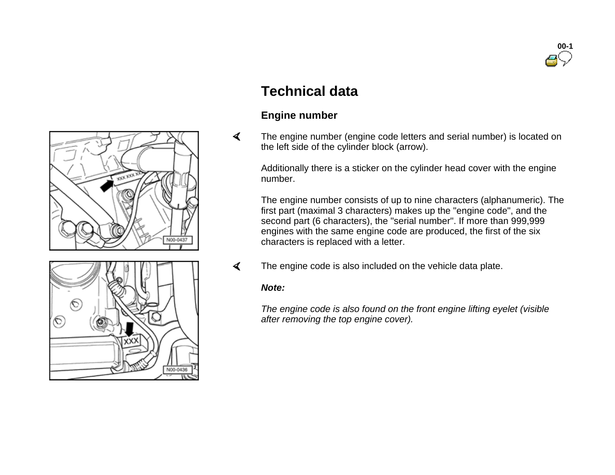

# N00-0437

## ∕♡ ல N00-0436

### **Technical data**

#### **Engine number**

 $\blacktriangleleft$  The engine number (engine code letters and serial number) is located on the left side of the cylinder block (arrow).

Additionally there is a sticker on the cylinder head cover with the engine number.

The engine number consists of up to nine characters (alphanumeric). The first part (maximal 3 characters) makes up the "engine code", and the second part (6 characters), the "serial number". If more than 999,999 engines with the same engine code are produced, the first of the six characters is replaced with a letter.

 $\blacktriangleleft$ The engine code is also included on the vehicle data plate.

#### *Note:*

*The engine code is also found on the front engine lifting eyelet (visible after removing the top engine cover).*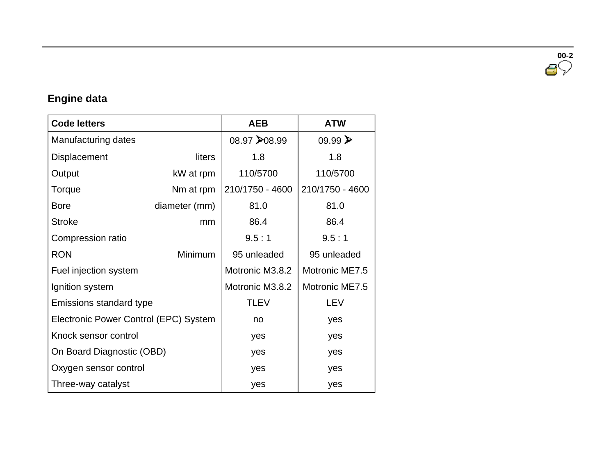**00-2**

#### **Engine data**

| <b>Code letters</b>                   |               | <b>AEB</b>      | <b>ATW</b>             |
|---------------------------------------|---------------|-----------------|------------------------|
| Manufacturing dates                   |               | 08.97 → 08.99   | $09.99 \triangleright$ |
| Displacement                          | liters        | 1.8             | 1.8                    |
| Output                                | kW at rpm     | 110/5700        | 110/5700               |
| Torque                                | Nm at rpm     | 210/1750 - 4600 | 210/1750 - 4600        |
| <b>Bore</b>                           | diameter (mm) | 81.0            | 81.0                   |
| <b>Stroke</b>                         | mm            | 86.4            | 86.4                   |
| Compression ratio                     |               | 9.5:1           | 9.5:1                  |
| <b>RON</b>                            | Minimum       | 95 unleaded     | 95 unleaded            |
| Fuel injection system                 |               | Motronic M3.8.2 | Motronic ME7.5         |
| Ignition system                       |               | Motronic M3.8.2 | Motronic ME7.5         |
| Emissions standard type               |               | <b>TLEV</b>     | LEV                    |
| Electronic Power Control (EPC) System |               | no              | yes                    |
| Knock sensor control                  |               | yes             | yes                    |
| On Board Diagnostic (OBD)             |               | yes             | yes                    |
| Oxygen sensor control                 |               | yes             | yes                    |
| Three-way catalyst                    |               | yes             | yes                    |